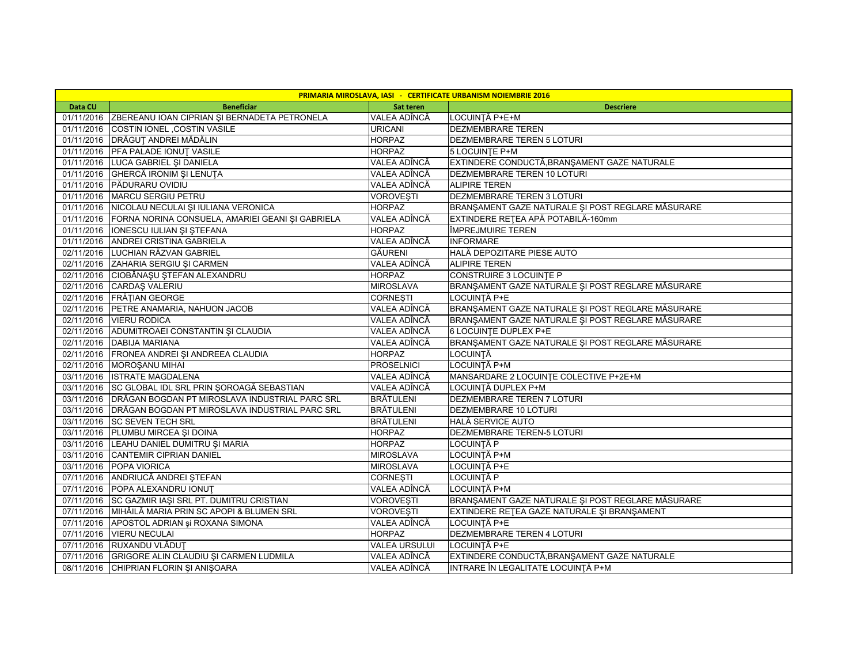| <b>PRIMARIA MIROSLAVA, IASI - CERTIFICATE URBANISM NOIEMBRIE 2016</b> |                                                             |                      |                                                   |  |
|-----------------------------------------------------------------------|-------------------------------------------------------------|----------------------|---------------------------------------------------|--|
| Data CU                                                               | <b>Beneficiar</b>                                           | Sat teren            | <b>Descriere</b>                                  |  |
| 01/11/2016                                                            | ZBEREANU IOAN CIPRIAN ȘI BERNADETA PETRONELA                | VALEA ADÎNCĂ         | LOCUINȚĂ P+E+M                                    |  |
| 01/11/2016                                                            | COSTIN IONEL , COSTIN VASILE                                | URICANI              | DEZMEMBRARE TEREN                                 |  |
|                                                                       | 01/11/2016 DRĂGUȚ ANDREI MĂDĂLIN                            | <b>HORPAZ</b>        | DEZMEMBRARE TEREN 5 LOTURI                        |  |
|                                                                       | 01/11/2016 PFA PALADE IONUT VASILE                          | <b>HORPAZ</b>        | 5 LOCUINTE P+M                                    |  |
|                                                                       | 01/11/2016 LUCA GABRIEL ȘI DANIELA                          | VALEA ADÎNCĂ         | EXTINDERE CONDUCTĂ, BRANȘAMENT GAZE NATURALE      |  |
|                                                                       | 01/11/2016 GHERCĂ IRONIM ȘI LENUȚA                          | VALEA ADÎNCĂ         | DEZMEMBRARE TEREN 10 LOTURI                       |  |
|                                                                       | 01/11/2016 PĂDURARU OVIDIU                                  | VALEA ADÎNCĂ         | <b>ALIPIRE TEREN</b>                              |  |
|                                                                       | 01/11/2016   MARCU SERGIU PETRU                             | VOROVESTI            | <b>DEZMEMBRARE TEREN 3 LOTURI</b>                 |  |
|                                                                       | 01/11/2016 NICOLAU NECULAI ȘI IULIANA VERONICA              | <b>HORPAZ</b>        | BRANŞAMENT GAZE NATURALE ŞI POST REGLARE MĂSURARE |  |
|                                                                       | 01/11/2016 FORNA NORINA CONSUELA, AMARIEI GEANI ȘI GABRIELA | VALEA ADÎNCĂ         | EXTINDERE REȚEA APĂ POTABILĂ-160mm                |  |
|                                                                       | 01/11/2016   IONESCU IULIAN ȘI ȘTEFANA                      | <b>HORPAZ</b>        | ÎMPREJMUIRE TEREN                                 |  |
|                                                                       | 01/11/2016 ANDREI CRISTINA GABRIELA                         | VALEA ADÎNCĂ         | <b>INFORMARE</b>                                  |  |
|                                                                       | 02/11/2016 LUCHIAN RĂZVAN GABRIEL                           | GĂURENI              | HALĂ DEPOZITARE PIESE AUTO                        |  |
|                                                                       | 02/11/2016 ZAHARIA SERGIU ȘI CARMEN                         | VALEA ADÎNCĂ         | <b>ALIPIRE TEREN</b>                              |  |
|                                                                       | 02/11/2016 CIOBĂNAȘU ȘTEFAN ALEXANDRU                       | <b>HORPAZ</b>        | CONSTRUIRE 3 LOCUINTE P                           |  |
|                                                                       | 02/11/2016 CARDAS VALERIU                                   | <b>MIROSLAVA</b>     | BRANȘAMENT GAZE NATURALE ȘI POST REGLARE MĂSURARE |  |
|                                                                       | 02/11/2016 FRĂȚIAN GEORGE                                   | <b>CORNEȘTI</b>      | LOCUINȚĂ P+E                                      |  |
|                                                                       | 02/11/2016 PETRE ANAMARIA, NAHUON JACOB                     | VALEA ADÎNCĂ         | BRANŞAMENT GAZE NATURALE ŞI POST REGLARE MĂSURARE |  |
|                                                                       | 02/11/2016 VIERU RODICA                                     | VALEA ADÎNCĂ         | BRANŞAMENT GAZE NATURALE ŞI POST REGLARE MĂSURARE |  |
|                                                                       | 02/11/2016 ADUMITROAEI CONSTANTIN ȘI CLAUDIA                | VALEA ADÎNCĂ         | <b>6 LOCUINTE DUPLEX P+E</b>                      |  |
|                                                                       | 02/11/2016 DABIJA MARIANA                                   | VALEA ADÎNCĂ         | BRANŞAMENT GAZE NATURALE ŞI POST REGLARE MĂSURARE |  |
|                                                                       | 02/11/2016   FRONEA ANDREI ȘI ANDREEA CLAUDIA               | <b>HORPAZ</b>        | <b>LOCUINTĂ</b>                                   |  |
|                                                                       | 02/11/2016 MOROSANU MIHAI                                   | <b>PROSELNICI</b>    | LOCUINȚĂ P+M                                      |  |
| 03/11/2016                                                            | <b>ISTRATE MAGDALENA</b>                                    | VALEA ADÎNCĂ         | MANSARDARE 2 LOCUINTE COLECTIVE P+2E+M            |  |
|                                                                       | 03/11/2016 SC GLOBAL IDL SRL PRIN ŞOROAGĂ SEBASTIAN         | VALEA ADÎNCĂ         | LOCUINȚĂ DUPLEX P+M                               |  |
|                                                                       | 03/11/2016   DRĂGAN BOGDAN PT MIROSLAVA INDUSTRIAL PARC SRL | <b>BRÅTULENI</b>     | DEZMEMBRARE TEREN 7 LOTURI                        |  |
|                                                                       | 03/11/2016   DRĂGAN BOGDAN PT MIROSLAVA INDUSTRIAL PARC SRL | BRĂTULENI            | DEZMEMBRARE 10 LOTURI                             |  |
|                                                                       | 03/11/2016 SC SEVEN TECH SRL                                | BRĂTULENI            | <b>HALĂ SERVICE AUTO</b>                          |  |
|                                                                       | 03/11/2016 PLUMBU MIRCEA ȘI DOINA                           | <b>HORPAZ</b>        | DEZMEMBRARE TEREN-5 LOTURI                        |  |
|                                                                       | 03/11/2016 LEAHU DANIEL DUMITRU ȘI MARIA                    | HORPAZ               | LOCUINTĂ P                                        |  |
|                                                                       | 03/11/2016 CANTEMIR CIPRIAN DANIEL                          | <b>MIROSLAVA</b>     | LOCUINTĂ P+M                                      |  |
|                                                                       | 03/11/2016 POPA VIORICA                                     | <b>MIROSLAVA</b>     | LOCUINTĂ P+E                                      |  |
|                                                                       | 07/11/2016 ANDRIUCĂ ANDREI ȘTEFAN                           | <b>CORNESTI</b>      | LOCUINTĂ P                                        |  |
|                                                                       | 07/11/2016 POPA ALEXANDRU IONUT                             | VALEA ADÎNCĂ         | LOCUINTĂ P+M                                      |  |
|                                                                       | 07/11/2016 SC GAZMIR IAŞI SRL PT. DUMITRU CRISTIAN          | <b>VOROVEȘTI</b>     | BRANŞAMENT GAZE NATURALE ŞI POST REGLARE MĂSURARE |  |
| 07/11/2016                                                            | MIHĂILĂ MARIA PRIN SC APOPI & BLUMEN SRL                    | <b>VOROVESTI</b>     | EXTINDERE RETEA GAZE NATURALE ȘI BRANȘAMENT       |  |
|                                                                       | 07/11/2016 APOSTOL ADRIAN și ROXANA SIMONA                  | VALEA ADÎNCĂ         | LOCUINȚĂ P+E                                      |  |
|                                                                       | 07/11/2016 VIERU NECULAI                                    | <b>HORPAZ</b>        | DEZMEMBRARE TEREN 4 LOTURI                        |  |
|                                                                       | 07/11/2016 RUXANDU VLĂDUȚ                                   | <b>VALEA URSULUI</b> | LOCUINTĂ P+E                                      |  |
| 07/11/2016                                                            | GRIGORE ALIN CLAUDIU ȘI CARMEN LUDMILA                      | VALEA ADÎNCĂ         | EXTINDERE CONDUCTĂ, BRANȘAMENT GAZE NATURALE      |  |
|                                                                       | 08/11/2016 CHIPRIAN FLORIN ȘI ANIȘOARA                      | VALEA ADÎNCĂ         | INTRARE ÎN LEGALITATE LOCUINȚĂ P+M                |  |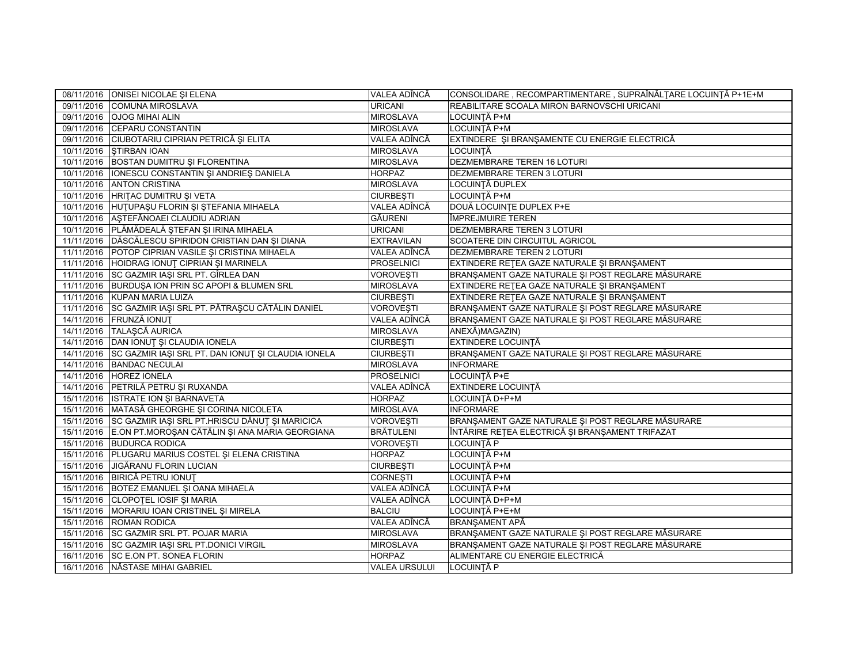|            | 08/11/2016 ONISEI NICOLAE ȘI ELENA                            | VALEA ADÎNCĂ         | CONSOLIDARE, RECOMPARTIMENTARE, SUPRAÎNĂLȚARE LOCUINȚĂ P+1E+M |
|------------|---------------------------------------------------------------|----------------------|---------------------------------------------------------------|
|            | 09/11/2016 COMUNA MIROSLAVA                                   | <b>URICANI</b>       | REABILITARE SCOALA MIRON BARNOVSCHI URICANI                   |
|            | 09/11/2016    QJOG MIHAI ALIN                                 | <b>MIROSLAVA</b>     | LOCUINTĂ P+M                                                  |
|            | 09/11/2016 CEPARU CONSTANTIN                                  | <b>MIROSLAVA</b>     | LOCUINTĂ P+M                                                  |
|            | 09/11/2016 CIUBOTARIU CIPRIAN PETRICĂ ȘI ELITA                | VALEA ADÎNCĂ         | EXTINDERE ȘI BRANȘAMENTE CU ENERGIE ELECTRICĂ                 |
|            | 10/11/2016   ŞTIRBAN IOAN                                     | <b>MIROSLAVA</b>     | LOCUINTĂ                                                      |
|            | 10/11/2016 BOSTAN DUMITRU ȘI FLORENTINA                       | <b>MIROSLAVA</b>     | DEZMEMBRARE TEREN 16 LOTURI                                   |
| 10/11/2016 | <b>IONESCU CONSTANTIN ȘI ANDRIEȘ DANIELA</b>                  | <b>HORPAZ</b>        | DEZMEMBRARE TEREN 3 LOTURI                                    |
|            | 10/11/2016 ANTON CRISTINA                                     | <b>MIROSLAVA</b>     | LOCUINTĂ DUPLEX                                               |
|            | 10/11/2016 HRITAC DUMITRU ȘI VETA                             | <b>CIURBEȘTI</b>     | LOCUINȚĂ P+M                                                  |
|            | 10/11/2016 HUTUPAŞU FLORIN ŞI ŞTEFANIA MIHAELA                | VALEA ADÎNCĂ         | DOUĂ LOCUINTE DUPLEX P+E                                      |
|            | 10/11/2016 AŞTEFĂNOAEI CLAUDIU ADRIAN                         | GĂURENI              | ÎMPREJMUIRE TEREN                                             |
|            | 10/11/2016   PLĂMĂDEALĂ ȘTEFAN ȘI IRINA MIHAELA               | <b>URICANI</b>       | DEZMEMBRARE TEREN 3 LOTURI                                    |
|            | 11/11/2016   DĂSCĂLESCU SPIRIDON CRISTIAN DAN ȘI DIANA        | <b>EXTRAVILAN</b>    | SCOATERE DIN CIRCUITUL AGRICOL                                |
| 11/11/2016 | POTOP CIPRIAN VASILE ȘI CRISTINA MIHAELA                      | VALEA ADÎNCĂ         | DEZMEMBRARE TEREN 2 LOTURI                                    |
|            | 11/11/2016 HOIDRAG IONUT CIPRIAN ȘI MARINELA                  | <b>PROSELNICI</b>    | EXTINDERE RETEA GAZE NATURALE SI BRANSAMENT                   |
|            | 11/11/2016 SC GAZMIR IAŞI SRL PT. GÎRLEA DAN                  | <b>VOROVESTI</b>     | BRANȘAMENT GAZE NATURALE ȘI POST REGLARE MĂSURARE             |
|            | 11/11/2016 BURDUSA ION PRIN SC APOPI & BLUMEN SRL             | <b>MIROSLAVA</b>     | EXTINDERE RETEA GAZE NATURALE ȘI BRANȘAMENT                   |
| 11/11/2016 | KUPAN MARIA LUIZA                                             | <b>CIURBESTI</b>     | EXTINDERE RETEA GAZE NATURALE ȘI BRANȘAMENT                   |
|            | 11/11/2016 SC GAZMIR IAȘI SRL PT. PĂTRAȘCU CĂTĂLIN DANIEL     | <b>VOROVESTI</b>     | BRANSAMENT GAZE NATURALE ȘI POST REGLARE MĂSURARE             |
|            | 14/11/2016 FRUNZĂ IONUȚ                                       | VALEA ADÎNCĂ         | BRANȘAMENT GAZE NATURALE ȘI POST REGLARE MĂSURARE             |
|            | 14/11/2016 TALAŞCĂ AURICA                                     | <b>MIROSLAVA</b>     | ANEXĂ) MAGAZIN)                                               |
|            | 14/11/2016 DAN IONUȚ ȘI CLAUDIA IONELA                        | <b>CIURBESTI</b>     | EXTINDERE LOCUINȚĂ                                            |
|            | 14/11/2016 SC GAZMIR IAŞI SRL PT. DAN IONUȚ ȘI CLAUDIA IONELA | <b>CIURBESTI</b>     | BRANŞAMENT GAZE NATURALE ŞI POST REGLARE MĂSURARE             |
|            | 14/11/2016 BANDAC NECULAI                                     | <b>MIROSLAVA</b>     | <b>INFORMARE</b>                                              |
| 14/11/2016 | <b>HOREZ IONELA</b>                                           | <b>PROSELNICI</b>    | LOCUINTĂ P+E                                                  |
|            | 14/11/2016 PETRILĂ PETRU ȘI RUXANDA                           | VALEA ADÎNCĂ         | <b>EXTINDERE LOCUINTĂ</b>                                     |
|            | 15/11/2016   ISTRATE ION ȘI BARNAVETA                         | <b>HORPAZ</b>        | LOCUINȚĂ D+P+M                                                |
| 15/11/2016 | MATASĂ GHEORGHE ȘI CORINA NICOLETA                            | <b>MIROSLAVA</b>     | <b>INFORMARE</b>                                              |
|            | 15/11/2016 SC GAZMIR IAȘI SRL PT.HRISCU DĂNUȚ ȘI MARICICA     | <b>VOROVEȘTI</b>     | BRANŞAMENT GAZE NATURALE ŞI POST REGLARE MĂSURARE             |
| 15/11/2016 | E.ON PT.MOROȘAN CĂTĂLIN ȘI ANA MARIA GEORGIANA                | <b>BRĂTULENI</b>     | ÎNTĂRIRE REȚEA ELECTRICĂ ȘI BRANȘAMENT TRIFAZAT               |
|            | 15/11/2016 BUDURCA RODICA                                     | <b>VOROVESTI</b>     | LOCUINTĂ P                                                    |
| 15/11/2016 | PLUGARU MARIUS COSTEL ȘI ELENA CRISTINA                       | <b>HORPAZ</b>        | LOCUINTĂ P+M                                                  |
|            | 15/11/2016 JIGĂRANU FLORIN LUCIAN                             | <b>CIURBESTI</b>     | LOCUINTĂ P+M                                                  |
|            | 15/11/2016 BIRICĂ PETRU IONUT                                 | <b>CORNESTI</b>      | LOCUINTĂ P+M                                                  |
| 15/11/2016 | BOTEZ EMANUEL ȘI OANA MIHAELA                                 | VALEA ADÎNCĂ         | LOCUINTĂ P+M                                                  |
|            | 15/11/2016 CLOPOTEL IOSIF ȘI MARIA                            | VALEA ADÎNCĂ         | LOCUINȚĂ D+P+M                                                |
| 15/11/2016 | MORARIU IOAN CRISTINEL ȘI MIRELA                              | <b>BALCIU</b>        | LOCUINTĂ P+E+M                                                |
|            | 15/11/2016 ROMAN RODICA                                       | VALEA ADÎNCĂ         | <b>BRANŞAMENT APĂ</b>                                         |
| 15/11/2016 | SC GAZMIR SRL PT. POJAR MARIA                                 | <b>MIROSLAVA</b>     | BRANȘAMENT GAZE NATURALE ȘI POST REGLARE MĂSURARE             |
|            | 15/11/2016 SC GAZMIR IASI SRL PT.DONICI VIRGIL                | <b>MIROSLAVA</b>     | BRANȘAMENT GAZE NATURALE ȘI POST REGLARE MĂSURARE             |
| 16/11/2016 | <b>SC E.ON PT. SONEA FLORIN</b>                               | <b>HORPAZ</b>        | ALIMENTARE CU ENERGIE ELECTRICĂ                               |
|            | 16/11/2016 NĂSTASE MIHAI GABRIEL                              | <b>VALEA URSULUI</b> | LOCUINTĂ P                                                    |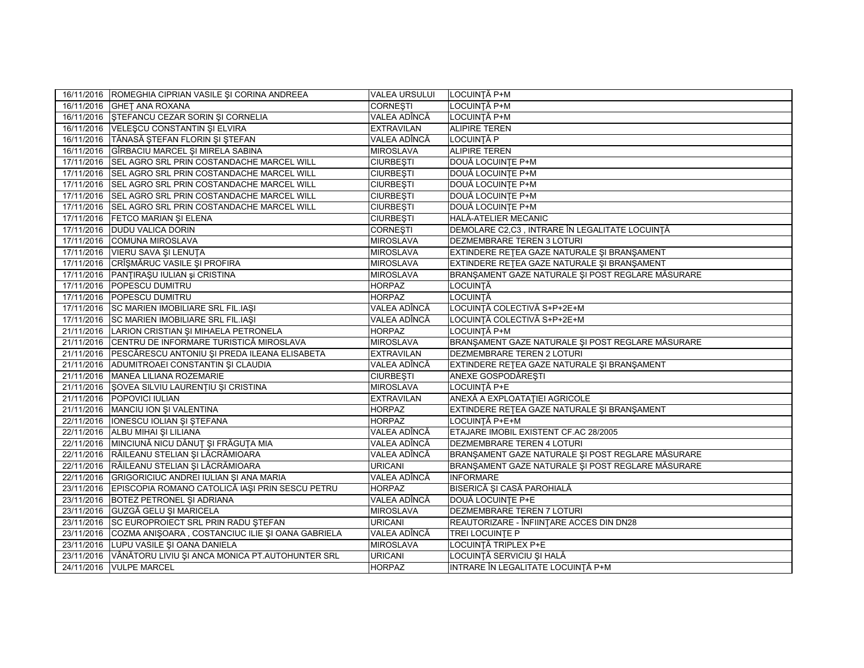|            | 16/11/2016 ROMEGHIA CIPRIAN VASILE ȘI CORINA ANDREEA       | <b>VALEA URSULUI</b> | LOCUINTĂ P+M                                      |
|------------|------------------------------------------------------------|----------------------|---------------------------------------------------|
|            | 16/11/2016 GHET ANA ROXANA                                 | <b>CORNESTI</b>      | LOCUINȚĂ P+M                                      |
|            | 16/11/2016   ŞTEFANCU CEZAR SORIN ŞI CORNELIA              | VALEA ADÎNCĂ         | LOCUINȚĂ P+M                                      |
|            | 16/11/2016 VELEŞCU CONSTANTIN ŞI ELVIRA                    | <b>EXTRAVILAN</b>    | <b>ALIPIRE TEREN</b>                              |
|            | 16/11/2016   TĂNASĂ ȘTEFAN FLORIN ȘI ȘTEFAN                | VALEA ADÎNCĂ         | LOCUINȚĂ P                                        |
| 16/11/2016 | GÎRBACIU MARCEL ȘI MIRELA SABINA                           | <b>MIROSLAVA</b>     | <b>ALIPIRE TEREN</b>                              |
| 17/11/2016 | SEL AGRO SRL PRIN COSTANDACHE MARCEL WILL                  | <b>CIURBESTI</b>     | DOUĂ LOCUINȚE P+M                                 |
|            | 17/11/2016 SEL AGRO SRL PRIN COSTANDACHE MARCEL WILL       | <b>CIURBESTI</b>     | DOUĂ LOCUINȚE P+M                                 |
|            | 17/11/2016 SEL AGRO SRL PRIN COSTANDACHE MARCEL WILL       | <b>CIURBEȘTI</b>     | DOUĂ LOCUINTE P+M                                 |
| 17/11/2016 | SEL AGRO SRL PRIN COSTANDACHE MARCEL WILL                  | <b>CIURBESTI</b>     | DOUĂ LOCUINȚE P+M                                 |
| 17/11/2016 | <b>SEL AGRO SRL PRIN COSTANDACHE MARCEL WILL</b>           | <b>CIURBESTI</b>     | DOUĂ LOCUINTE P+M                                 |
| 17/11/2016 | <b>FETCO MARIAN ȘI ELENA</b>                               | <b>CIURBEȘTI</b>     | HALĂ-ATELIER MECANIC                              |
| 17/11/2016 | <b>DUDU VALICA DORIN</b>                                   | <b>CORNESTI</b>      | DEMOLARE C2,C3, INTRARE ÎN LEGALITATE LOCUINȚĂ    |
| 17/11/2016 | COMUNA MIROSLAVA                                           | <b>MIROSLAVA</b>     | DEZMEMBRARE TEREN 3 LOTURI                        |
| 17/11/2016 | VIERU SAVA ȘI LENUȚA                                       | <b>MIROSLAVA</b>     | EXTINDERE RETEA GAZE NATURALE ȘI BRANȘAMENT       |
|            | 17/11/2016 CRÎŞMĂRUC VASILE ȘI PROFIRA                     | <b>MIROSLAVA</b>     | EXTINDERE RETEA GAZE NATURALE ȘI BRANȘAMENT       |
| 17/11/2016 | PANȚIRAȘU IULIAN și CRISTINA                               | <b>MIROSLAVA</b>     | BRANŞAMENT GAZE NATURALE ŞI POST REGLARE MĂSURARE |
| 17/11/2016 | POPESCU DUMITRU                                            | <b>HORPAZ</b>        | LOCUINȚĂ                                          |
|            | 17/11/2016 POPESCU DUMITRU                                 | <b>HORPAZ</b>        | LOCUINȚĂ                                          |
|            | 17/11/2016 SC MARIEN IMOBILIARE SRL FIL.IAŞI               | VALEA ADÎNCĂ         | LOCUINȚĂ COLECTIVĂ S+P+2E+M                       |
|            | 17/11/2016 SC MARIEN IMOBILIARE SRL FIL.IAŞI               | VALEA ADÎNCĂ         | LOCUINȚĂ COLECTIVĂ S+P+2E+M                       |
| 21/11/2016 | LARION CRISTIAN ȘI MIHAELA PETRONELA                       | <b>HORPAZ</b>        | LOCUINTĂ P+M                                      |
|            | 21/11/2016 CENTRU DE INFORMARE TURISTICĂ MIROSLAVA         | <b>MIROSLAVA</b>     | BRANŞAMENT GAZE NATURALE ŞI POST REGLARE MĂSURARE |
|            | 21/11/2016 PESCĂRESCU ANTONIU ȘI PREDA ILEANA ELISABETA    | <b>EXTRAVILAN</b>    | DEZMEMBRARE TEREN 2 LOTURI                        |
|            | 21/11/2016 ADUMITROAEI CONSTANTIN ȘI CLAUDIA               | VALEA ADÎNCĂ         | EXTINDERE RETEA GAZE NATURALE ȘI BRANȘAMENT       |
| 21/11/2016 | MANEA LILIANA ROZEMARIE                                    | <b>CIURBEȘTI</b>     | ANEXE GOSPODĂREȘTI                                |
|            | 21/11/2016   ŞOVEA SILVIU LAURENȚIU ȘI CRISTINA            | <b>MIROSLAVA</b>     | LOCUINȚĂ P+E                                      |
|            | 21/11/2016 POPOVICI IULIAN                                 | <b>EXTRAVILAN</b>    | ANEXĂ A EXPLOATAȚIEI AGRICOLE                     |
|            | 21/11/2016   MANCIU ION ȘI VALENTINA                       | <b>HORPAZ</b>        | EXTINDERE RETEA GAZE NATURALE ȘI BRANȘAMENT       |
| 22/11/2016 | <b>IONESCU IOLIAN SI STEFANA</b>                           | <b>HORPAZ</b>        | LOCUINȚĂ P+E+M                                    |
| 22/11/2016 | ALBU MIHAI ŞI LILIANA                                      | VALEA ADÎNCĂ         | ETAJARE IMOBIL EXISTENT CF.AC 28/2005             |
|            | 22/11/2016 MINCIUNĂ NICU DĂNUȚ ȘI FRĂGUȚA MIA              | VALEA ADÎNCĂ         | DEZMEMBRARE TEREN 4 LOTURI                        |
|            | 22/11/2016 RĂILEANU STELIAN ȘI LĂCRĂMIOARA                 | VALEA ADÎNCĂ         | BRANSAMENT GAZE NATURALE ȘI POST REGLARE MĂSURARE |
| 22/11/2016 | RĂILEANU STELIAN ȘI LĂCRĂMIOARA                            | <b>URICANI</b>       | BRANŞAMENT GAZE NATURALE ŞI POST REGLARE MĂSURARE |
|            | 22/11/2016 GRIGORICIUC ANDREI IULIAN ȘI ANA MARIA          | VALEA ADÎNCĂ         | <b>INFORMARE</b>                                  |
| 23/11/2016 | EPISCOPIA ROMANO CATOLICĂ IAȘI PRIN SESCU PETRU            | <b>HORPAZ</b>        | BISERICĂ ȘI CASĂ PAROHIALĂ                        |
| 23/11/2016 | <b>BOTEZ PETRONEL ȘI ADRIANA</b>                           | VALEA ADÎNCĂ         | DOUĂ LOCUINȚE P+E                                 |
|            | 23/11/2016 GUZGĂ GELU ȘI MARICELA                          | <b>MIROSLAVA</b>     | DEZMEMBRARE TEREN 7 LOTURI                        |
|            | 23/11/2016 SC EUROPROIECT SRL PRIN RADU ŞTEFAN             | <b>URICANI</b>       | REAUTORIZARE - ÎNFIINȚARE ACCES DIN DN28          |
| 23/11/2016 | COZMA ANIȘOARA, COSTANCIUC ILIE ȘI OANA GABRIELA           | VALEA ADÎNCĂ         | TREI LOCUINTE P                                   |
| 23/11/2016 | LUPU VASILE ȘI OANA DANIELA                                | <b>MIROSLAVA</b>     | LOCUINȚĂ TRIPLEX P+E                              |
|            | 23/11/2016 VÂNĂTORU LIVIU ȘI ANCA MONICA PT.AUTOHUNTER SRL | <b>URICANI</b>       | LOCUINȚĂ SERVICIU ȘI HALĂ                         |
|            | 24/11/2016 VULPE MARCEL                                    | <b>HORPAZ</b>        | INTRARE ÎN LEGALITATE LOCUINȚĂ P+M                |